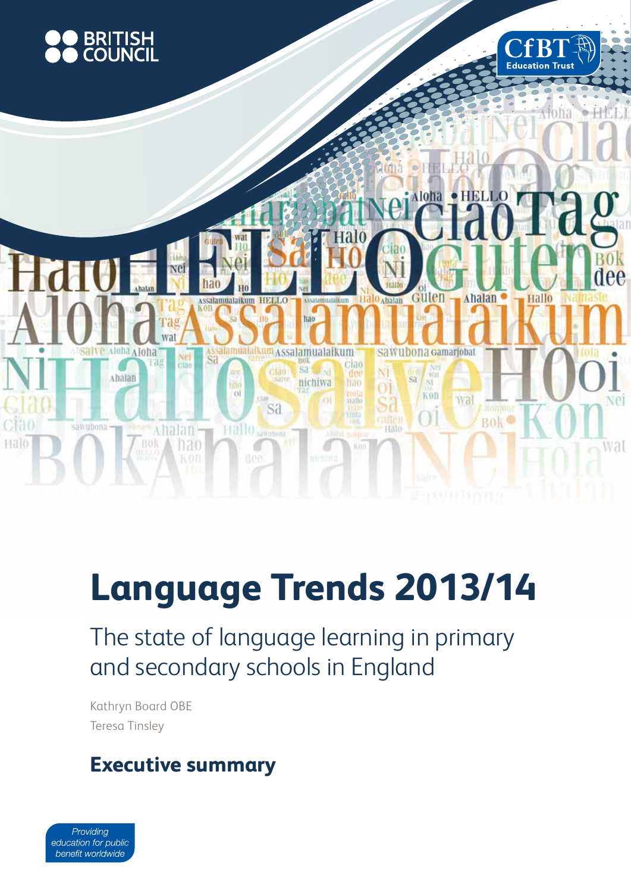

# **Language Trends 2013/14**

The state of language learning in primary and secondary schools in England

Kathryn Board OBE Teresa Tinsley

# **Executive summary**

Providing education for public benefit worldwide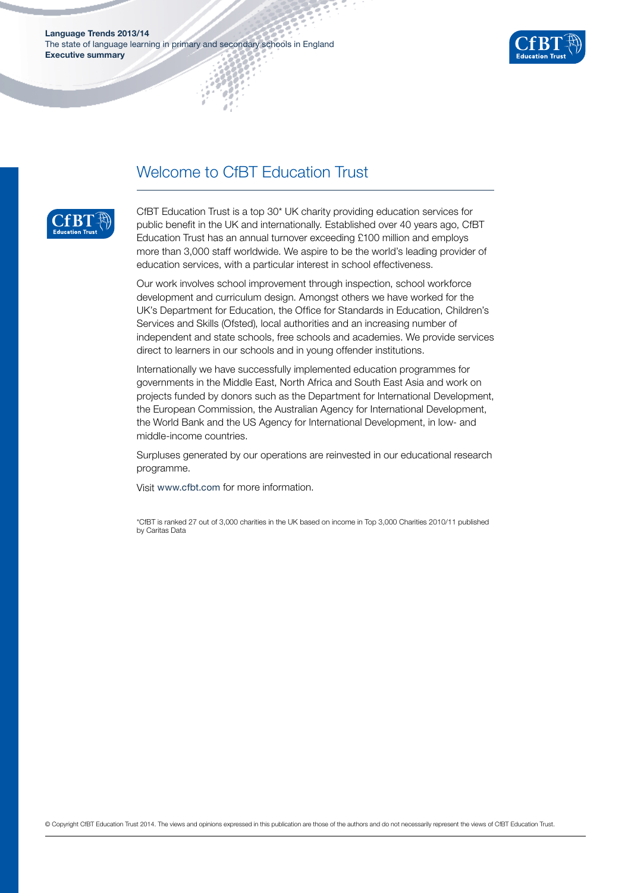

### Welcome to CfBT Education Trust



CfBT Education Trust is a top 30\* UK charity providing education services for public benefit in the UK and internationally. Established over 40 years ago, CfBT Education Trust has an annual turnover exceeding £100 million and employs more than 3,000 staff worldwide. We aspire to be the world's leading provider of education services, with a particular interest in school effectiveness.

Our work involves school improvement through inspection, school workforce development and curriculum design. Amongst others we have worked for the UK's Department for Education, the Office for Standards in Education, Children's Services and Skills (Ofsted), local authorities and an increasing number of independent and state schools, free schools and academies. We provide services direct to learners in our schools and in young offender institutions.

Internationally we have successfully implemented education programmes for governments in the Middle East, North Africa and South East Asia and work on projects funded by donors such as the Department for International Development, the European Commission, the Australian Agency for International Development, the World Bank and the US Agency for International Development, in low- and middle-income countries.

Surpluses generated by our operations are reinvested in our educational research programme.

Visit www.cfbt.com for more information.

\*CfBT is ranked 27 out of 3,000 charities in the UK based on income in Top 3,000 Charities 2010/11 published by Caritas Data

© Copyright CfBT Education Trust 2014. The views and opinions expressed in this publication are those of the authors and do not necessarily represent the views of CfBT Education Trust.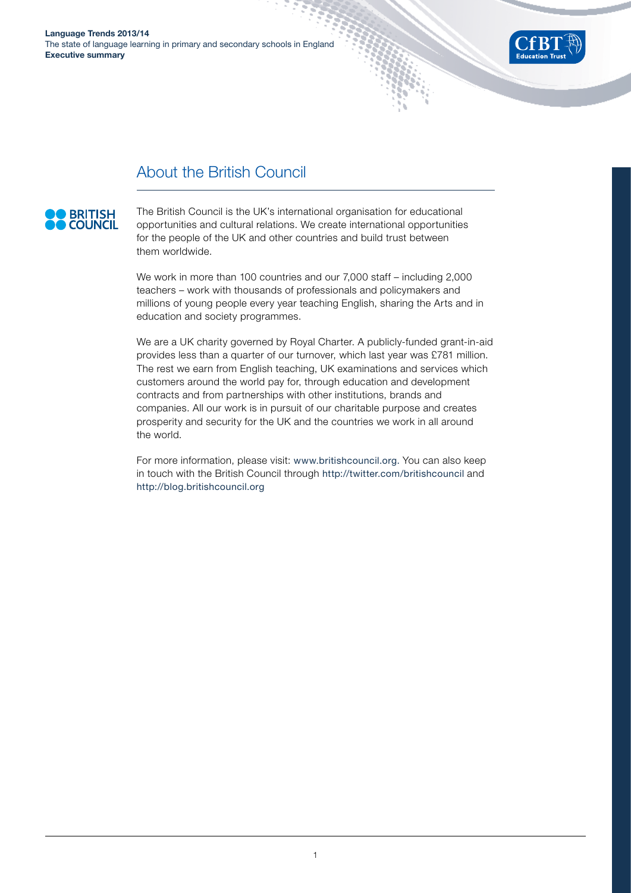

# About the British Council

# **BRITISH**

The British Council is the UK's international organisation for educational opportunities and cultural relations. We create international opportunities for the people of the UK and other countries and build trust between them worldwide.

We work in more than 100 countries and our 7,000 staff – including 2,000 teachers – work with thousands of professionals and policymakers and millions of young people every year teaching English, sharing the Arts and in education and society programmes.

We are a UK charity governed by Royal Charter. A publicly-funded grant-in-aid provides less than a quarter of our turnover, which last year was £781 million. The rest we earn from English teaching, UK examinations and services which customers around the world pay for, through education and development contracts and from partnerships with other institutions, brands and companies. All our work is in pursuit of our charitable purpose and creates prosperity and security for the UK and the countries we work in all around the world.

For more information, please visit: www.britishcouncil.org. You can also keep in touch with the British Council through http://twitter.com/britishcouncil and http://blog.britishcouncil.org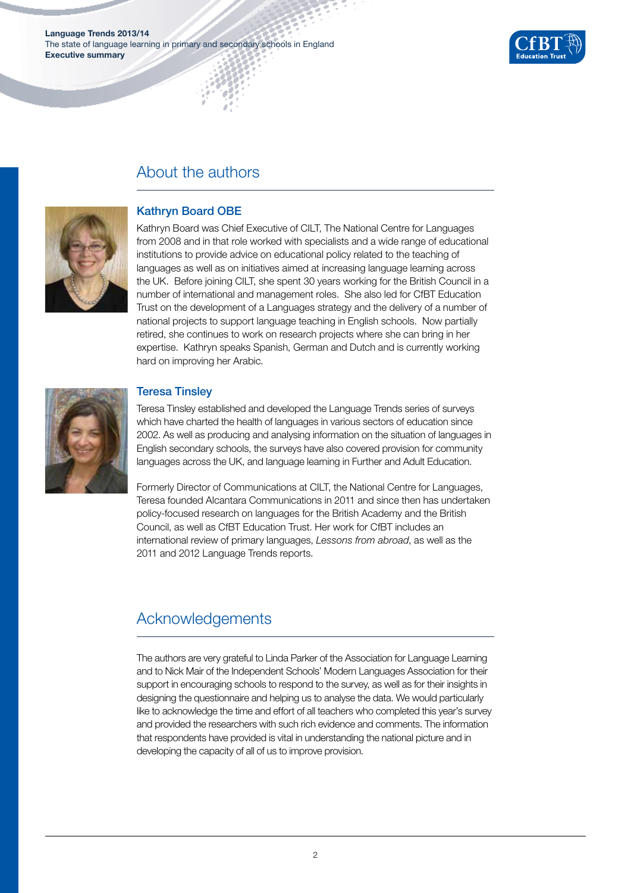**Language Trends 2013/14**  The state of language learning in primary and secondary schools in England **Executive summary**



## About the authors



#### Kathryn Board OBE

Kathryn Board was Chief Executive of CILT, The National Centre for Languages from 2008 and in that role worked with specialists and a wide range of educational institutions to provide advice on educational policy related to the teaching of languages as well as on initiatives aimed at increasing language learning across the UK. Before joining CILT, she spent 30 years working for the British Council in a number of international and management roles. She also led for CfBT Education Trust on the development of a Languages strategy and the delivery of a number of national projects to support language teaching in English schools. Now partially retired, she continues to work on research projects where she can bring in her expertise. Kathryn speaks Spanish, German and Dutch and is currently working hard on improving her Arabic.



#### Teresa Tinsley

Teresa Tinsley established and developed the Language Trends series of surveys which have charted the health of languages in various sectors of education since 2002. As well as producing and analysing information on the situation of languages in English secondary schools, the surveys have also covered provision for community languages across the UK, and language learning in Further and Adult Education.

Formerly Director of Communications at CILT, the National Centre for Languages, Teresa founded Alcantara Communications in 2011 and since then has undertaken policy-focused research on languages for the British Academy and the British Council, as well as CfBT Education Trust. Her work for CfBT includes an international review of primary languages, *Lessons from abroad*, as well as the 2011 and 2012 Language Trends reports.

# Acknowledgements

The authors are very grateful to Linda Parker of the Association for Language Learning and to Nick Mair of the Independent Schools' Modern Languages Association for their support in encouraging schools to respond to the survey, as well as for their insights in designing the questionnaire and helping us to analyse the data. We would particularly like to acknowledge the time and effort of all teachers who completed this year's survey and provided the researchers with such rich evidence and comments. The information that respondents have provided is vital in understanding the national picture and in developing the capacity of all of us to improve provision.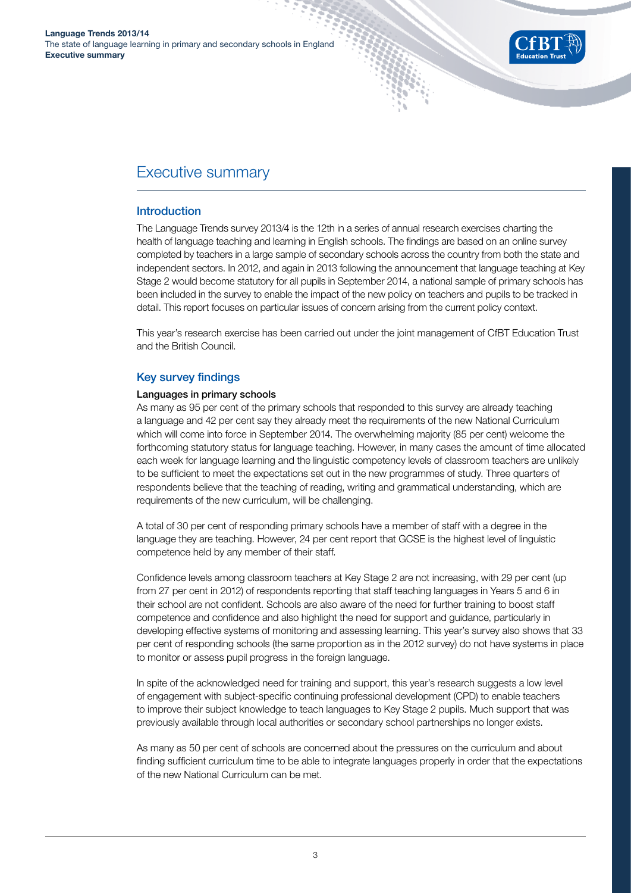

## Executive summary

#### **Introduction**

The Language Trends survey 2013/4 is the 12th in a series of annual research exercises charting the health of language teaching and learning in English schools. The findings are based on an online survey completed by teachers in a large sample of secondary schools across the country from both the state and independent sectors. In 2012, and again in 2013 following the announcement that language teaching at Key Stage 2 would become statutory for all pupils in September 2014, a national sample of primary schools has been included in the survey to enable the impact of the new policy on teachers and pupils to be tracked in detail. This report focuses on particular issues of concern arising from the current policy context.

This year's research exercise has been carried out under the joint management of CfBT Education Trust and the British Council.

#### Key survey findings

#### Languages in primary schools

As many as 95 per cent of the primary schools that responded to this survey are already teaching a language and 42 per cent say they already meet the requirements of the new National Curriculum which will come into force in September 2014. The overwhelming majority (85 per cent) welcome the forthcoming statutory status for language teaching. However, in many cases the amount of time allocated each week for language learning and the linguistic competency levels of classroom teachers are unlikely to be sufficient to meet the expectations set out in the new programmes of study. Three quarters of respondents believe that the teaching of reading, writing and grammatical understanding, which are requirements of the new curriculum, will be challenging.

A total of 30 per cent of responding primary schools have a member of staff with a degree in the language they are teaching. However, 24 per cent report that GCSE is the highest level of linguistic competence held by any member of their staff.

Confidence levels among classroom teachers at Key Stage 2 are not increasing, with 29 per cent (up from 27 per cent in 2012) of respondents reporting that staff teaching languages in Years 5 and 6 in their school are not confident. Schools are also aware of the need for further training to boost staff competence and confidence and also highlight the need for support and guidance, particularly in developing effective systems of monitoring and assessing learning. This year's survey also shows that 33 per cent of responding schools (the same proportion as in the 2012 survey) do not have systems in place to monitor or assess pupil progress in the foreign language.

In spite of the acknowledged need for training and support, this year's research suggests a low level of engagement with subject-specific continuing professional development (CPD) to enable teachers to improve their subject knowledge to teach languages to Key Stage 2 pupils. Much support that was previously available through local authorities or secondary school partnerships no longer exists.

As many as 50 per cent of schools are concerned about the pressures on the curriculum and about finding sufficient curriculum time to be able to integrate languages properly in order that the expectations of the new National Curriculum can be met.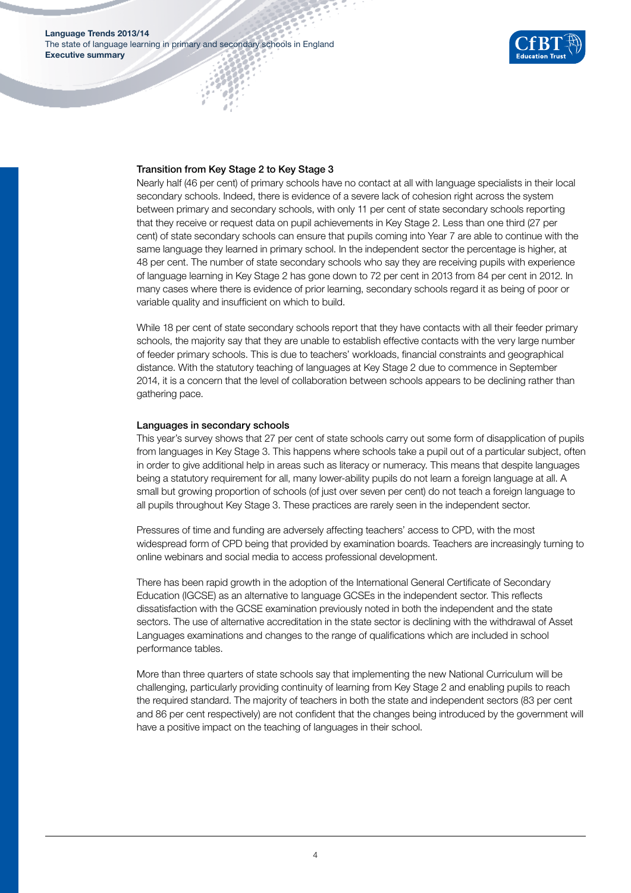

#### Transition from Key Stage 2 to Key Stage 3

Nearly half (46 per cent) of primary schools have no contact at all with language specialists in their local secondary schools. Indeed, there is evidence of a severe lack of cohesion right across the system between primary and secondary schools, with only 11 per cent of state secondary schools reporting that they receive or request data on pupil achievements in Key Stage 2. Less than one third (27 per cent) of state secondary schools can ensure that pupils coming into Year 7 are able to continue with the same language they learned in primary school. In the independent sector the percentage is higher, at 48 per cent. The number of state secondary schools who say they are receiving pupils with experience of language learning in Key Stage 2 has gone down to 72 per cent in 2013 from 84 per cent in 2012. In many cases where there is evidence of prior learning, secondary schools regard it as being of poor or variable quality and insufficient on which to build.

While 18 per cent of state secondary schools report that they have contacts with all their feeder primary schools, the majority say that they are unable to establish effective contacts with the very large number of feeder primary schools. This is due to teachers' workloads, financial constraints and geographical distance. With the statutory teaching of languages at Key Stage 2 due to commence in September 2014, it is a concern that the level of collaboration between schools appears to be declining rather than gathering pace.

#### Languages in secondary schools

This year's survey shows that 27 per cent of state schools carry out some form of disapplication of pupils from languages in Key Stage 3. This happens where schools take a pupil out of a particular subject, often in order to give additional help in areas such as literacy or numeracy. This means that despite languages being a statutory requirement for all, many lower-ability pupils do not learn a foreign language at all. A small but growing proportion of schools (of just over seven per cent) do not teach a foreign language to all pupils throughout Key Stage 3. These practices are rarely seen in the independent sector.

Pressures of time and funding are adversely affecting teachers' access to CPD, with the most widespread form of CPD being that provided by examination boards. Teachers are increasingly turning to online webinars and social media to access professional development.

There has been rapid growth in the adoption of the International General Certificate of Secondary Education (IGCSE) as an alternative to language GCSEs in the independent sector. This reflects dissatisfaction with the GCSE examination previously noted in both the independent and the state sectors. The use of alternative accreditation in the state sector is declining with the withdrawal of Asset Languages examinations and changes to the range of qualifications which are included in school performance tables.

More than three quarters of state schools say that implementing the new National Curriculum will be challenging, particularly providing continuity of learning from Key Stage 2 and enabling pupils to reach the required standard. The majority of teachers in both the state and independent sectors (83 per cent and 86 per cent respectively) are not confident that the changes being introduced by the government will have a positive impact on the teaching of languages in their school.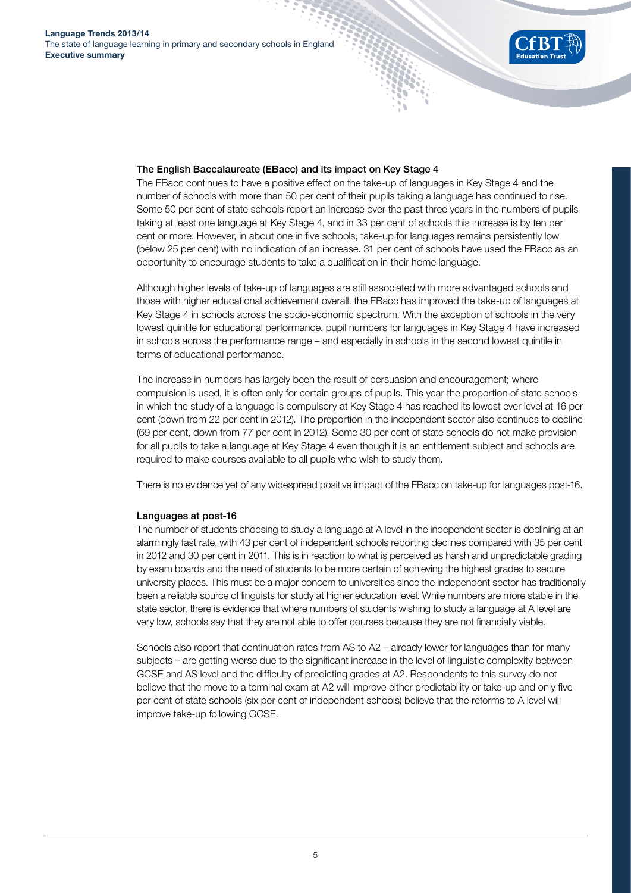

#### The English Baccalaureate (EBacc) and its impact on Key Stage 4

The EBacc continues to have a positive effect on the take-up of languages in Key Stage 4 and the number of schools with more than 50 per cent of their pupils taking a language has continued to rise. Some 50 per cent of state schools report an increase over the past three years in the numbers of pupils taking at least one language at Key Stage 4, and in 33 per cent of schools this increase is by ten per cent or more. However, in about one in five schools, take-up for languages remains persistently low (below 25 per cent) with no indication of an increase. 31 per cent of schools have used the EBacc as an opportunity to encourage students to take a qualification in their home language.

Although higher levels of take-up of languages are still associated with more advantaged schools and those with higher educational achievement overall, the EBacc has improved the take-up of languages at Key Stage 4 in schools across the socio-economic spectrum. With the exception of schools in the very lowest quintile for educational performance, pupil numbers for languages in Key Stage 4 have increased in schools across the performance range – and especially in schools in the second lowest quintile in terms of educational performance.

The increase in numbers has largely been the result of persuasion and encouragement; where compulsion is used, it is often only for certain groups of pupils. This year the proportion of state schools in which the study of a language is compulsory at Key Stage 4 has reached its lowest ever level at 16 per cent (down from 22 per cent in 2012). The proportion in the independent sector also continues to decline (69 per cent, down from 77 per cent in 2012). Some 30 per cent of state schools do not make provision for all pupils to take a language at Key Stage 4 even though it is an entitlement subject and schools are required to make courses available to all pupils who wish to study them.

There is no evidence yet of any widespread positive impact of the EBacc on take-up for languages post-16.

#### Languages at post-16

The number of students choosing to study a language at A level in the independent sector is declining at an alarmingly fast rate, with 43 per cent of independent schools reporting declines compared with 35 per cent in 2012 and 30 per cent in 2011. This is in reaction to what is perceived as harsh and unpredictable grading by exam boards and the need of students to be more certain of achieving the highest grades to secure university places. This must be a major concern to universities since the independent sector has traditionally been a reliable source of linguists for study at higher education level. While numbers are more stable in the state sector, there is evidence that where numbers of students wishing to study a language at A level are very low, schools say that they are not able to offer courses because they are not financially viable.

Schools also report that continuation rates from AS to A2 – already lower for languages than for many subjects – are getting worse due to the significant increase in the level of linguistic complexity between GCSE and AS level and the difficulty of predicting grades at A2. Respondents to this survey do not believe that the move to a terminal exam at A2 will improve either predictability or take-up and only five per cent of state schools (six per cent of independent schools) believe that the reforms to A level will improve take-up following GCSE.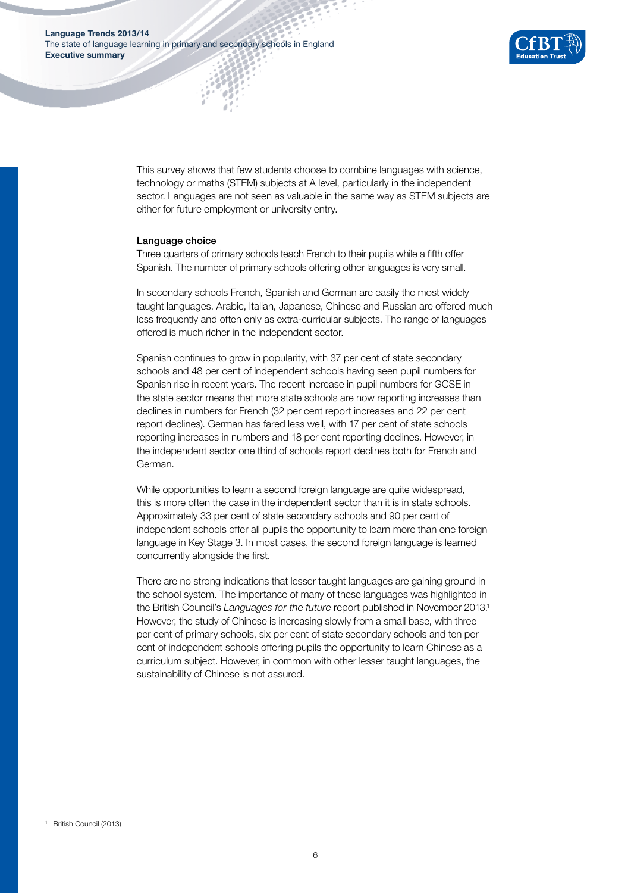

This survey shows that few students choose to combine languages with science, technology or maths (STEM) subjects at A level, particularly in the independent sector. Languages are not seen as valuable in the same way as STEM subjects are either for future employment or university entry.

#### Language choice

Three quarters of primary schools teach French to their pupils while a fifth offer Spanish. The number of primary schools offering other languages is very small.

In secondary schools French, Spanish and German are easily the most widely taught languages. Arabic, Italian, Japanese, Chinese and Russian are offered much less frequently and often only as extra-curricular subjects. The range of languages offered is much richer in the independent sector.

Spanish continues to grow in popularity, with 37 per cent of state secondary schools and 48 per cent of independent schools having seen pupil numbers for Spanish rise in recent years. The recent increase in pupil numbers for GCSE in the state sector means that more state schools are now reporting increases than declines in numbers for French (32 per cent report increases and 22 per cent report declines). German has fared less well, with 17 per cent of state schools reporting increases in numbers and 18 per cent reporting declines. However, in the independent sector one third of schools report declines both for French and German.

While opportunities to learn a second foreign language are quite widespread, this is more often the case in the independent sector than it is in state schools. Approximately 33 per cent of state secondary schools and 90 per cent of independent schools offer all pupils the opportunity to learn more than one foreign language in Key Stage 3. In most cases, the second foreign language is learned concurrently alongside the first.

There are no strong indications that lesser taught languages are gaining ground in the school system. The importance of many of these languages was highlighted in the British Council's *Languages for the future* report published in November 2013.1 However, the study of Chinese is increasing slowly from a small base, with three per cent of primary schools, six per cent of state secondary schools and ten per cent of independent schools offering pupils the opportunity to learn Chinese as a curriculum subject. However, in common with other lesser taught languages, the sustainability of Chinese is not assured.

<sup>1</sup> British Council (2013)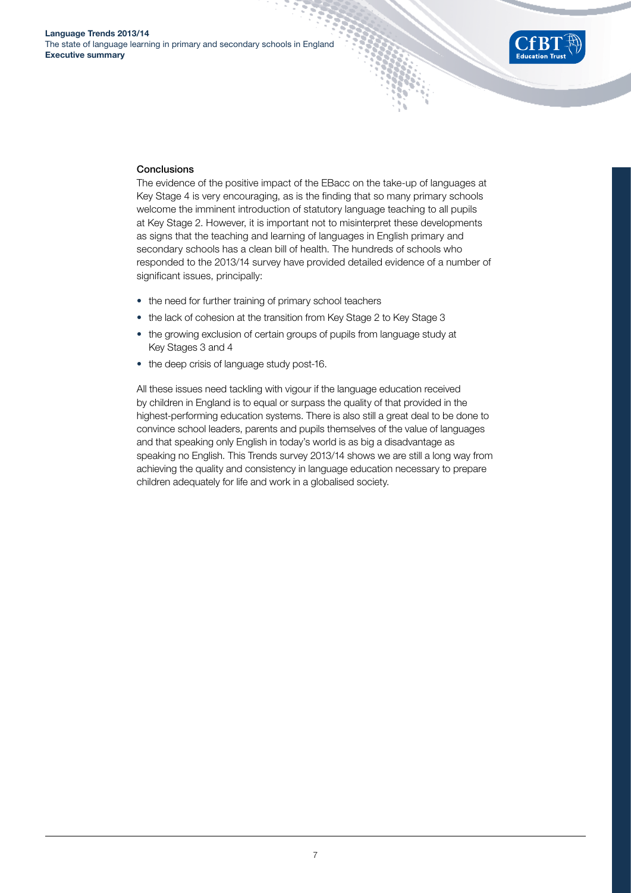

#### **Conclusions**

The evidence of the positive impact of the EBacc on the take-up of languages at Key Stage 4 is very encouraging, as is the finding that so many primary schools welcome the imminent introduction of statutory language teaching to all pupils at Key Stage 2. However, it is important not to misinterpret these developments as signs that the teaching and learning of languages in English primary and secondary schools has a clean bill of health. The hundreds of schools who responded to the 2013/14 survey have provided detailed evidence of a number of significant issues, principally:

- the need for further training of primary school teachers
- the lack of cohesion at the transition from Key Stage 2 to Key Stage 3
- the growing exclusion of certain groups of pupils from language study at Key Stages 3 and 4
- the deep crisis of language study post-16.

All these issues need tackling with vigour if the language education received by children in England is to equal or surpass the quality of that provided in the highest-performing education systems. There is also still a great deal to be done to convince school leaders, parents and pupils themselves of the value of languages and that speaking only English in today's world is as big a disadvantage as speaking no English. This Trends survey 2013/14 shows we are still a long way from achieving the quality and consistency in language education necessary to prepare children adequately for life and work in a globalised society.